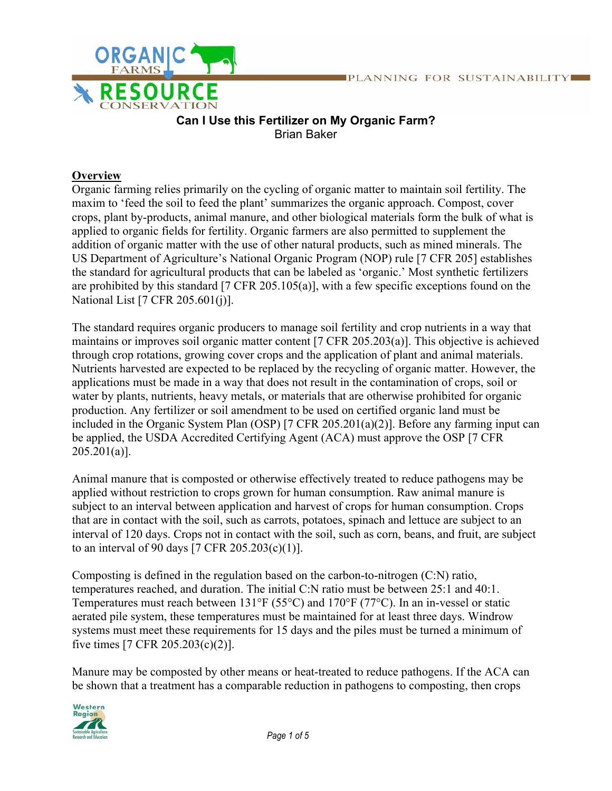

## **Can I Use this Fertilizer on My Organic Farm?** Brian Baker

## **Overview**

Organic farming relies primarily on the cycling of organic matter to maintain soil fertility. The maxim to 'feed the soil to feed the plant' summarizes the organic approach. Compost, cover crops, plant by-products, animal manure, and other biological materials form the bulk of what is applied to organic fields for fertility. Organic farmers are also permitted to supplement the addition of organic matter with the use of other natural products, such as mined minerals. The US Department of Agriculture's National Organic Program (NOP) rule [7 CFR 205] establishes the standard for agricultural products that can be labeled as 'organic.' Most synthetic fertilizers are prohibited by this standard [7 CFR 205.105(a)], with a few specific exceptions found on the National List [7 CFR 205.601(j)].

The standard requires organic producers to manage soil fertility and crop nutrients in a way that maintains or improves soil organic matter content [7 CFR 205.203(a)]. This objective is achieved through crop rotations, growing cover crops and the application of plant and animal materials. Nutrients harvested are expected to be replaced by the recycling of organic matter. However, the applications must be made in a way that does not result in the contamination of crops, soil or water by plants, nutrients, heavy metals, or materials that are otherwise prohibited for organic production. Any fertilizer or soil amendment to be used on certified organic land must be included in the Organic System Plan (OSP) [7 CFR 205.201(a)(2)]. Before any farming input can be applied, the USDA Accredited Certifying Agent (ACA) must approve the OSP [7 CFR  $205.201(a)$ ].

Animal manure that is composted or otherwise effectively treated to reduce pathogens may be applied without restriction to crops grown for human consumption. Raw animal manure is subject to an interval between application and harvest of crops for human consumption. Crops that are in contact with the soil, such as carrots, potatoes, spinach and lettuce are subject to an interval of 120 days. Crops not in contact with the soil, such as corn, beans, and fruit, are subject to an interval of 90 days [7 CFR 205.203(c)(1)].

Composting is defined in the regulation based on the carbon-to-nitrogen (C:N) ratio, temperatures reached, and duration. The initial C:N ratio must be between 25:1 and 40:1. Temperatures must reach between 131°F (55°C) and 170°F (77°C). In an in-vessel or static aerated pile system, these temperatures must be maintained for at least three days. Windrow systems must meet these requirements for 15 days and the piles must be turned a minimum of five times [7 CFR 205.203(c)(2)].

Manure may be composted by other means or heat-treated to reduce pathogens. If the ACA can be shown that a treatment has a comparable reduction in pathogens to composting, then crops

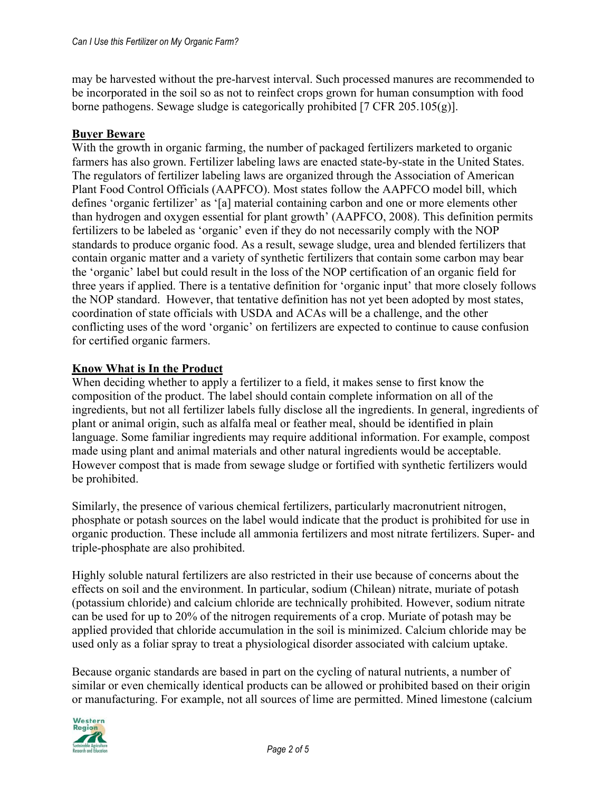may be harvested without the pre-harvest interval. Such processed manures are recommended to be incorporated in the soil so as not to reinfect crops grown for human consumption with food borne pathogens. Sewage sludge is categorically prohibited [7 CFR 205.105(g)].

### **Buyer Beware**

With the growth in organic farming, the number of packaged fertilizers marketed to organic farmers has also grown. Fertilizer labeling laws are enacted state-by-state in the United States. The regulators of fertilizer labeling laws are organized through the Association of American Plant Food Control Officials (AAPFCO). Most states follow the AAPFCO model bill, which defines 'organic fertilizer' as '[a] material containing carbon and one or more elements other than hydrogen and oxygen essential for plant growth' (AAPFCO, 2008). This definition permits fertilizers to be labeled as 'organic' even if they do not necessarily comply with the NOP standards to produce organic food. As a result, sewage sludge, urea and blended fertilizers that contain organic matter and a variety of synthetic fertilizers that contain some carbon may bear the 'organic' label but could result in the loss of the NOP certification of an organic field for three years if applied. There is a tentative definition for 'organic input' that more closely follows the NOP standard. However, that tentative definition has not yet been adopted by most states, coordination of state officials with USDA and ACAs will be a challenge, and the other conflicting uses of the word 'organic' on fertilizers are expected to continue to cause confusion for certified organic farmers.

### **Know What is In the Product**

When deciding whether to apply a fertilizer to a field, it makes sense to first know the composition of the product. The label should contain complete information on all of the ingredients, but not all fertilizer labels fully disclose all the ingredients. In general, ingredients of plant or animal origin, such as alfalfa meal or feather meal, should be identified in plain language. Some familiar ingredients may require additional information. For example, compost made using plant and animal materials and other natural ingredients would be acceptable. However compost that is made from sewage sludge or fortified with synthetic fertilizers would be prohibited.

Similarly, the presence of various chemical fertilizers, particularly macronutrient nitrogen, phosphate or potash sources on the label would indicate that the product is prohibited for use in organic production. These include all ammonia fertilizers and most nitrate fertilizers. Super- and triple-phosphate are also prohibited.

Highly soluble natural fertilizers are also restricted in their use because of concerns about the effects on soil and the environment. In particular, sodium (Chilean) nitrate, muriate of potash (potassium chloride) and calcium chloride are technically prohibited. However, sodium nitrate can be used for up to 20% of the nitrogen requirements of a crop. Muriate of potash may be applied provided that chloride accumulation in the soil is minimized. Calcium chloride may be used only as a foliar spray to treat a physiological disorder associated with calcium uptake.

Because organic standards are based in part on the cycling of natural nutrients, a number of similar or even chemically identical products can be allowed or prohibited based on their origin or manufacturing. For example, not all sources of lime are permitted. Mined limestone (calcium

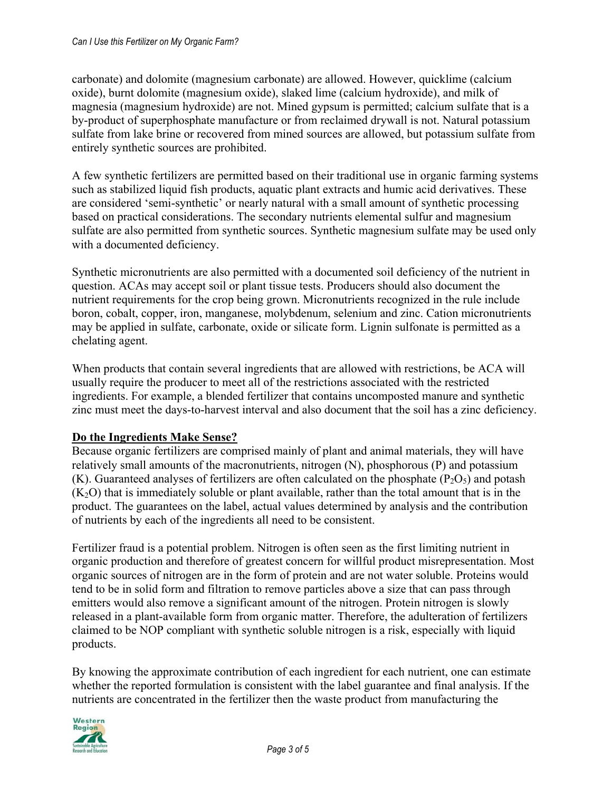carbonate) and dolomite (magnesium carbonate) are allowed. However, quicklime (calcium oxide), burnt dolomite (magnesium oxide), slaked lime (calcium hydroxide), and milk of magnesia (magnesium hydroxide) are not. Mined gypsum is permitted; calcium sulfate that is a by-product of superphosphate manufacture or from reclaimed drywall is not. Natural potassium sulfate from lake brine or recovered from mined sources are allowed, but potassium sulfate from entirely synthetic sources are prohibited.

A few synthetic fertilizers are permitted based on their traditional use in organic farming systems such as stabilized liquid fish products, aquatic plant extracts and humic acid derivatives. These are considered 'semi-synthetic' or nearly natural with a small amount of synthetic processing based on practical considerations. The secondary nutrients elemental sulfur and magnesium sulfate are also permitted from synthetic sources. Synthetic magnesium sulfate may be used only with a documented deficiency.

Synthetic micronutrients are also permitted with a documented soil deficiency of the nutrient in question. ACAs may accept soil or plant tissue tests. Producers should also document the nutrient requirements for the crop being grown. Micronutrients recognized in the rule include boron, cobalt, copper, iron, manganese, molybdenum, selenium and zinc. Cation micronutrients may be applied in sulfate, carbonate, oxide or silicate form. Lignin sulfonate is permitted as a chelating agent.

When products that contain several ingredients that are allowed with restrictions, be ACA will usually require the producer to meet all of the restrictions associated with the restricted ingredients. For example, a blended fertilizer that contains uncomposted manure and synthetic zinc must meet the days-to-harvest interval and also document that the soil has a zinc deficiency.

### **Do the Ingredients Make Sense?**

Because organic fertilizers are comprised mainly of plant and animal materials, they will have relatively small amounts of the macronutrients, nitrogen (N), phosphorous (P) and potassium (K). Guaranteed analyses of fertilizers are often calculated on the phosphate  $(P_2O_5)$  and potash  $(K<sub>2</sub>O)$  that is immediately soluble or plant available, rather than the total amount that is in the product. The guarantees on the label, actual values determined by analysis and the contribution of nutrients by each of the ingredients all need to be consistent.

Fertilizer fraud is a potential problem. Nitrogen is often seen as the first limiting nutrient in organic production and therefore of greatest concern for willful product misrepresentation. Most organic sources of nitrogen are in the form of protein and are not water soluble. Proteins would tend to be in solid form and filtration to remove particles above a size that can pass through emitters would also remove a significant amount of the nitrogen. Protein nitrogen is slowly released in a plant-available form from organic matter. Therefore, the adulteration of fertilizers claimed to be NOP compliant with synthetic soluble nitrogen is a risk, especially with liquid products.

By knowing the approximate contribution of each ingredient for each nutrient, one can estimate whether the reported formulation is consistent with the label guarantee and final analysis. If the nutrients are concentrated in the fertilizer then the waste product from manufacturing the

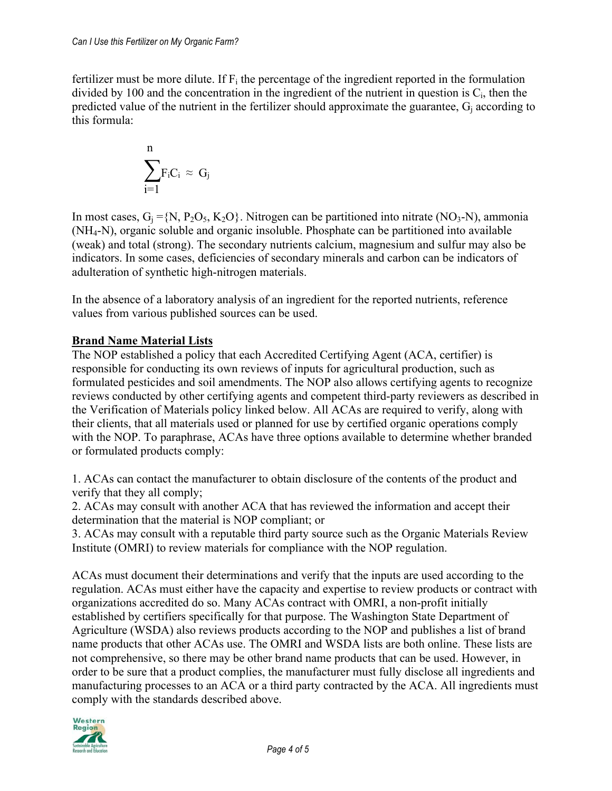fertilizer must be more dilute. If  $F_i$  the percentage of the ingredient reported in the formulation divided by 100 and the concentration in the ingredient of the nutrient in question is  $C_i$ , then the predicted value of the nutrient in the fertilizer should approximate the guarantee,  $G_i$  according to this formula:

$$
\sum_{i=1}^{n} F_i C_i \approx G_j
$$

In most cases,  $G_i = \{N, P_2O_5, K_2O\}$ . Nitrogen can be partitioned into nitrate (NO<sub>3</sub>-N), ammonia (NH4-N), organic soluble and organic insoluble. Phosphate can be partitioned into available (weak) and total (strong). The secondary nutrients calcium, magnesium and sulfur may also be indicators. In some cases, deficiencies of secondary minerals and carbon can be indicators of adulteration of synthetic high-nitrogen materials.

In the absence of a laboratory analysis of an ingredient for the reported nutrients, reference values from various published sources can be used.

# **Brand Name Material Lists**

The NOP established a policy that each Accredited Certifying Agent (ACA, certifier) is responsible for conducting its own reviews of inputs for agricultural production, such as formulated pesticides and soil amendments. The NOP also allows certifying agents to recognize reviews conducted by other certifying agents and competent third-party reviewers as described in the Verification of Materials policy linked below. All ACAs are required to verify, along with their clients, that all materials used or planned for use by certified organic operations comply with the NOP. To paraphrase, ACAs have three options available to determine whether branded or formulated products comply:

1. ACAs can contact the manufacturer to obtain disclosure of the contents of the product and verify that they all comply;

2. ACAs may consult with another ACA that has reviewed the information and accept their determination that the material is NOP compliant; or

3. ACAs may consult with a reputable third party source such as the Organic Materials Review Institute (OMRI) to review materials for compliance with the NOP regulation.

ACAs must document their determinations and verify that the inputs are used according to the regulation. ACAs must either have the capacity and expertise to review products or contract with organizations accredited do so. Many ACAs contract with OMRI, a non-profit initially established by certifiers specifically for that purpose. The Washington State Department of Agriculture (WSDA) also reviews products according to the NOP and publishes a list of brand name products that other ACAs use. The OMRI and WSDA lists are both online. These lists are not comprehensive, so there may be other brand name products that can be used. However, in order to be sure that a product complies, the manufacturer must fully disclose all ingredients and manufacturing processes to an ACA or a third party contracted by the ACA. All ingredients must comply with the standards described above.